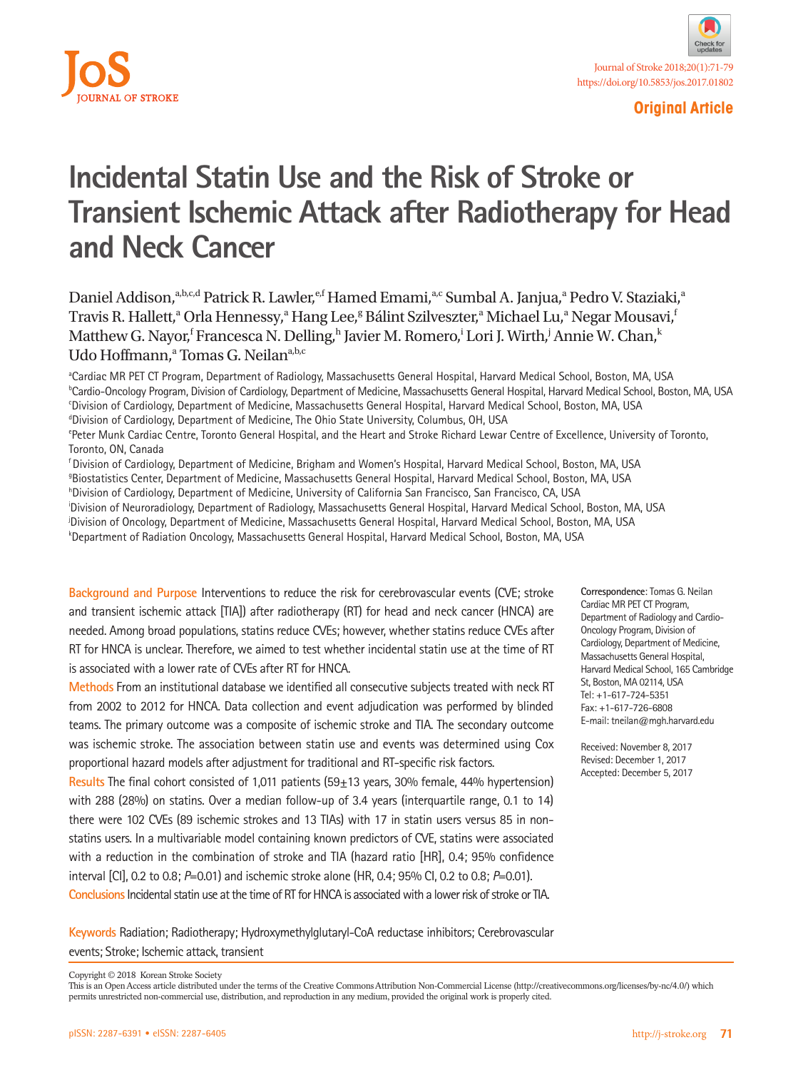



**Original Article**

# **Incidental Statin Use and the Risk of Stroke or Transient Ischemic Attack after Radiotherapy for Head and Neck Cancer**

Daniel Addison,<sup>a,b,c,d</sup> Patrick R. Lawler,<sup>e,f</sup> Hamed Emami,<sup>a,c</sup> Sumbal A. Janjua,<sup>a</sup> Pedro V. Staziaki,<sup>a</sup> Travis R. Hallett,<sup>a</sup> Orla Hennessy,<sup>a</sup> Hang Lee,<sup>g</sup> Bálint Szilveszter,<sup>a</sup> Michael Lu,<sup>a</sup> Negar Mousavi,<sup>†</sup> Matthew G. Nayor,<sup>f</sup> Francesca N. Delling,<sup>h</sup> Javier M. Romero,<sup>i</sup> Lori J. Wirth,<sup>j</sup> Annie W. Chan,<sup>k</sup> Udo Hoffmann,<sup>a</sup> Tomas G. Neilan<sup>a,b,c</sup>

a Cardiac MR PET CT Program, Department of Radiology, Massachusetts General Hospital, Harvard Medical School, Boston, MA, USA **bCardio-Oncology Program, Division of Cardiology, Department of Medicine, Massachusetts General Hospital, Harvard Medical School, Boston, MA, USA** c Division of Cardiology, Department of Medicine, Massachusetts General Hospital, Harvard Medical School, Boston, MA, USA <sup>d</sup>Division of Cardiology, Department of Medicine, The Ohio State University, Columbus, OH, USA

e Peter Munk Cardiac Centre, Toronto General Hospital, and the Heart and Stroke Richard Lewar Centre of Excellence, University of Toronto, Toronto, ON, Canada

f Division of Cardiology, Department of Medicine, Brigham and Women's Hospital, Harvard Medical School, Boston, MA, USA g Biostatistics Center, Department of Medicine, Massachusetts General Hospital, Harvard Medical School, Boston, MA, USA h Division of Cardiology, Department of Medicine, University of California San Francisco, San Francisco, CA, USA i Division of Neuroradiology, Department of Radiology, Massachusetts General Hospital, Harvard Medical School, Boston, MA, USA j Division of Oncology, Department of Medicine, Massachusetts General Hospital, Harvard Medical School, Boston, MA, USA k Department of Radiation Oncology, Massachusetts General Hospital, Harvard Medical School, Boston, MA, USA

**Background and Purpose** Interventions to reduce the risk for cerebrovascular events (CVE; stroke and transient ischemic attack [TIA]) after radiotherapy (RT) for head and neck cancer (HNCA) are needed. Among broad populations, statins reduce CVEs; however, whether statins reduce CVEs after RT for HNCA is unclear. Therefore, we aimed to test whether incidental statin use at the time of RT is associated with a lower rate of CVEs after RT for HNCA.

**Methods** From an institutional database we identified all consecutive subjects treated with neck RT from 2002 to 2012 for HNCA. Data collection and event adjudication was performed by blinded teams. The primary outcome was a composite of ischemic stroke and TIA. The secondary outcome was ischemic stroke. The association between statin use and events was determined using Cox proportional hazard models after adjustment for traditional and RT-specific risk factors.

**Results** The final cohort consisted of 1,011 patients (59±13 years, 30% female, 44% hypertension) with 288 (28%) on statins. Over a median follow-up of 3.4 years (interquartile range, 0.1 to 14) there were 102 CVEs (89 ischemic strokes and 13 TIAs) with 17 in statin users versus 85 in nonstatins users. In a multivariable model containing known predictors of CVE, statins were associated with a reduction in the combination of stroke and TIA (hazard ratio [HR], 0.4; 95% confidence interval [CI], 0.2 to 0.8; *P*=0.01) and ischemic stroke alone (HR, 0.4; 95% CI, 0.2 to 0.8; *P*=0.01). **Conclusions** Incidental statin use at the time of RT for HNCA is associated with a lower risk of stroke or TIA.

**Keywords** Radiation; Radiotherapy; Hydroxymethylglutaryl-CoA reductase inhibitors; Cerebrovascular events; Stroke; Ischemic attack, transient

**Correspondence**: Tomas G. Neilan Cardiac MR PET CT Program, Department of Radiology and Cardio-Oncology Program, Division of Cardiology, Department of Medicine, Massachusetts General Hospital, Harvard Medical School, 165 Cambridge St, Boston, MA 02114, USA Tel: +1-617-724-5351 Fax: +1-617-726-6808 E-mail: tneilan@mgh.harvard.edu

Received: November 8, 2017 Revised: December 1, 2017 Accepted: December 5, 2017

Copyright © 2018 Korean Stroke Society

This is an Open Access article distributed under the terms of the Creative Commons Attribution Non-Commercial License (http://creativecommons.org/licenses/by-nc/4.0/) which permits unrestricted non-commercial use, distribution, and reproduction in any medium, provided the original work is properly cited.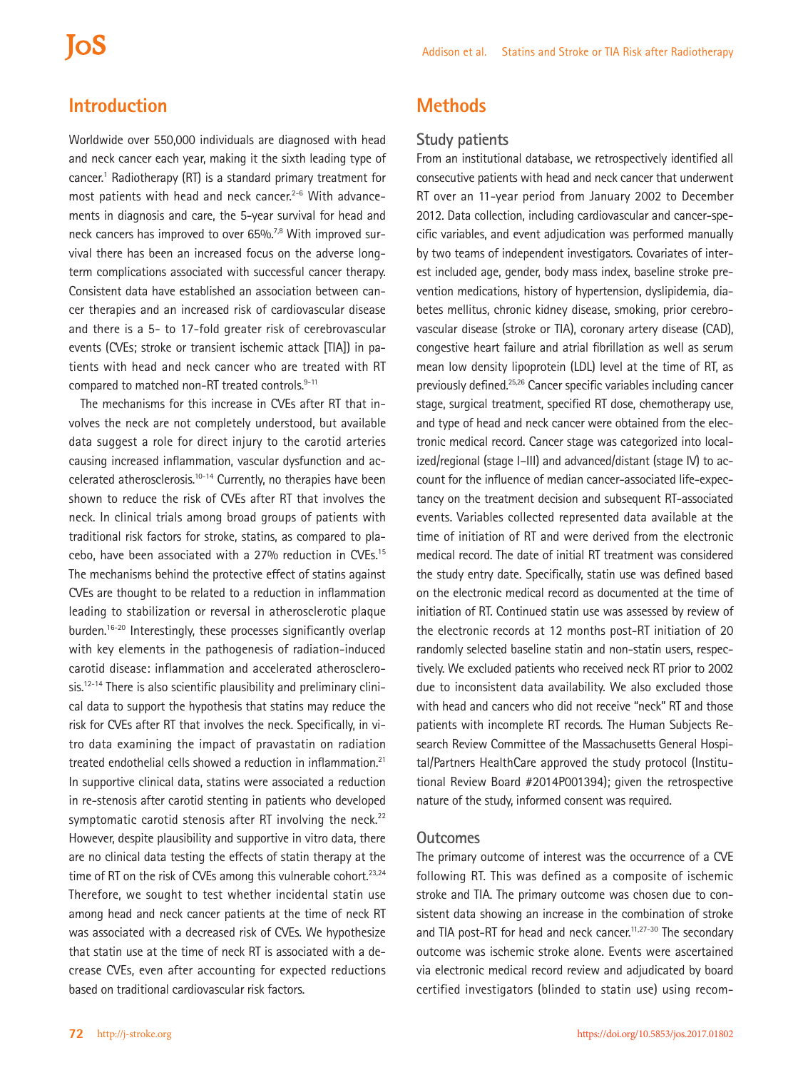# **IoS**

## **Introduction**

Worldwide over 550,000 individuals are diagnosed with head and neck cancer each year, making it the sixth leading type of cancer.<sup>1</sup> Radiotherapy (RT) is a standard primary treatment for most patients with head and neck cancer.<sup>2-6</sup> With advancements in diagnosis and care, the 5-year survival for head and neck cancers has improved to over 65%.<sup>7,8</sup> With improved survival there has been an increased focus on the adverse longterm complications associated with successful cancer therapy. Consistent data have established an association between cancer therapies and an increased risk of cardiovascular disease and there is a 5- to 17-fold greater risk of cerebrovascular events (CVEs; stroke or transient ischemic attack [TIA]) in patients with head and neck cancer who are treated with RT compared to matched non-RT treated controls.<sup>9-11</sup>

The mechanisms for this increase in CVEs after RT that involves the neck are not completely understood, but available data suggest a role for direct injury to the carotid arteries causing increased inflammation, vascular dysfunction and accelerated atherosclerosis.10-14 Currently, no therapies have been shown to reduce the risk of CVEs after RT that involves the neck. In clinical trials among broad groups of patients with traditional risk factors for stroke, statins, as compared to placebo, have been associated with a 27% reduction in CVEs.15 The mechanisms behind the protective effect of statins against CVEs are thought to be related to a reduction in inflammation leading to stabilization or reversal in atherosclerotic plaque burden.<sup>16-20</sup> Interestingly, these processes significantly overlap with key elements in the pathogenesis of radiation-induced carotid disease: inflammation and accelerated atherosclero $sis.^{12-14}$  There is also scientific plausibility and preliminary clinical data to support the hypothesis that statins may reduce the risk for CVEs after RT that involves the neck. Specifically, in vitro data examining the impact of pravastatin on radiation treated endothelial cells showed a reduction in inflammation.<sup>21</sup> In supportive clinical data, statins were associated a reduction in re-stenosis after carotid stenting in patients who developed symptomatic carotid stenosis after RT involving the neck. $22$ However, despite plausibility and supportive in vitro data, there are no clinical data testing the effects of statin therapy at the time of RT on the risk of CVEs among this vulnerable cohort.<sup>23,24</sup> Therefore, we sought to test whether incidental statin use among head and neck cancer patients at the time of neck RT was associated with a decreased risk of CVEs. We hypothesize that statin use at the time of neck RT is associated with a decrease CVEs, even after accounting for expected reductions based on traditional cardiovascular risk factors.

## **Methods**

### **Study patients**

From an institutional database, we retrospectively identified all consecutive patients with head and neck cancer that underwent RT over an 11-year period from January 2002 to December 2012. Data collection, including cardiovascular and cancer-specific variables, and event adjudication was performed manually by two teams of independent investigators. Covariates of interest included age, gender, body mass index, baseline stroke prevention medications, history of hypertension, dyslipidemia, diabetes mellitus, chronic kidney disease, smoking, prior cerebrovascular disease (stroke or TIA), coronary artery disease (CAD), congestive heart failure and atrial fibrillation as well as serum mean low density lipoprotein (LDL) level at the time of RT, as previously defined.<sup>25,26</sup> Cancer specific variables including cancer stage, surgical treatment, specified RT dose, chemotherapy use, and type of head and neck cancer were obtained from the electronic medical record. Cancer stage was categorized into localized/regional (stage I–III) and advanced/distant (stage IV) to account for the influence of median cancer-associated life-expectancy on the treatment decision and subsequent RT-associated events. Variables collected represented data available at the time of initiation of RT and were derived from the electronic medical record. The date of initial RT treatment was considered the study entry date. Specifically, statin use was defined based on the electronic medical record as documented at the time of initiation of RT. Continued statin use was assessed by review of the electronic records at 12 months post-RT initiation of 20 randomly selected baseline statin and non-statin users, respectively. We excluded patients who received neck RT prior to 2002 due to inconsistent data availability. We also excluded those with head and cancers who did not receive "neck" RT and those patients with incomplete RT records. The Human Subjects Research Review Committee of the Massachusetts General Hospital/Partners HealthCare approved the study protocol (Institutional Review Board #2014P001394); given the retrospective nature of the study, informed consent was required.

#### **Outcomes**

The primary outcome of interest was the occurrence of a CVE following RT. This was defined as a composite of ischemic stroke and TIA. The primary outcome was chosen due to consistent data showing an increase in the combination of stroke and TIA post-RT for head and neck cancer.<sup>11,27-30</sup> The secondary outcome was ischemic stroke alone. Events were ascertained via electronic medical record review and adjudicated by board certified investigators (blinded to statin use) using recom-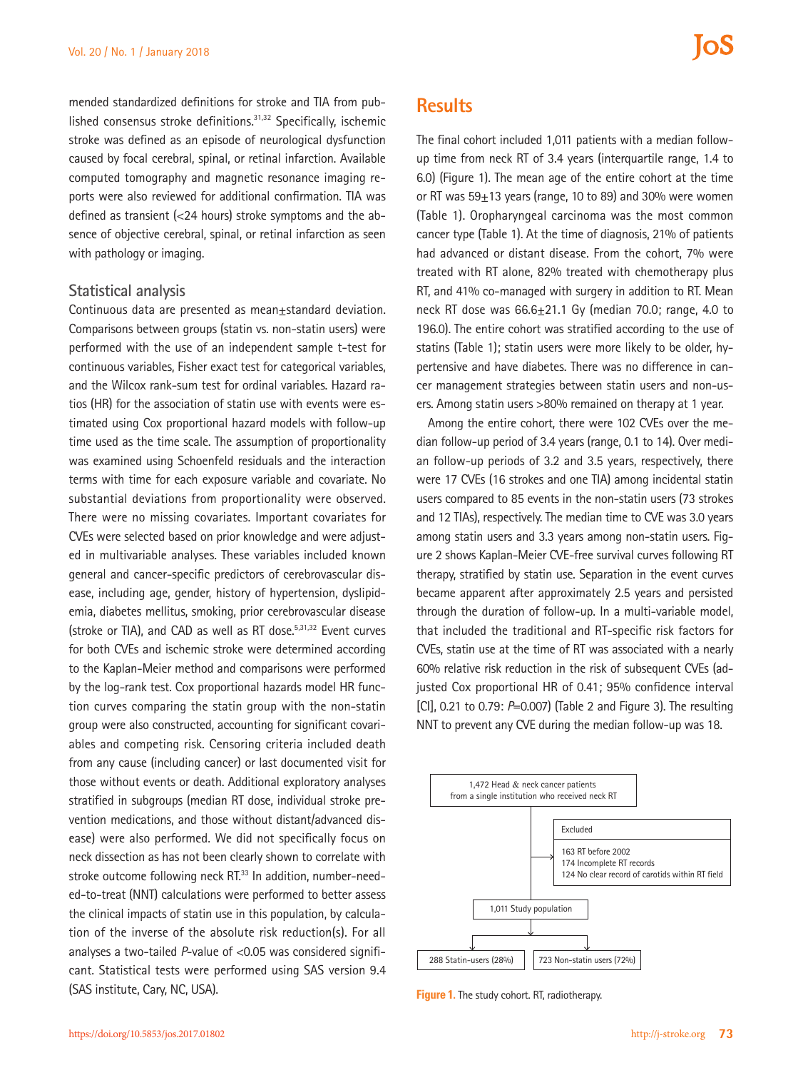mended standardized definitions for stroke and TIA from published consensus stroke definitions.31,32 Specifically, ischemic stroke was defined as an episode of neurological dysfunction caused by focal cerebral, spinal, or retinal infarction. Available computed tomography and magnetic resonance imaging reports were also reviewed for additional confirmation. TIA was defined as transient (<24 hours) stroke symptoms and the absence of objective cerebral, spinal, or retinal infarction as seen with pathology or imaging.

#### **Statistical analysis**

Continuous data are presented as mean±standard deviation. Comparisons between groups (statin vs. non-statin users) were performed with the use of an independent sample t-test for continuous variables, Fisher exact test for categorical variables, and the Wilcox rank-sum test for ordinal variables. Hazard ratios (HR) for the association of statin use with events were estimated using Cox proportional hazard models with follow-up time used as the time scale. The assumption of proportionality was examined using Schoenfeld residuals and the interaction terms with time for each exposure variable and covariate. No substantial deviations from proportionality were observed. There were no missing covariates. Important covariates for CVEs were selected based on prior knowledge and were adjusted in multivariable analyses. These variables included known general and cancer-specific predictors of cerebrovascular disease, including age, gender, history of hypertension, dyslipidemia, diabetes mellitus, smoking, prior cerebrovascular disease (stroke or TIA), and CAD as well as RT dose.<sup>5,31,32</sup> Event curves for both CVEs and ischemic stroke were determined according to the Kaplan-Meier method and comparisons were performed by the log-rank test. Cox proportional hazards model HR function curves comparing the statin group with the non-statin group were also constructed, accounting for significant covariables and competing risk. Censoring criteria included death from any cause (including cancer) or last documented visit for those without events or death. Additional exploratory analyses stratified in subgroups (median RT dose, individual stroke prevention medications, and those without distant/advanced disease) were also performed. We did not specifically focus on neck dissection as has not been clearly shown to correlate with stroke outcome following neck RT.<sup>33</sup> In addition, number-needed-to-treat (NNT) calculations were performed to better assess the clinical impacts of statin use in this population, by calculation of the inverse of the absolute risk reduction(s). For all analyses a two-tailed *P*-value of <0.05 was considered significant. Statistical tests were performed using SAS version 9.4 (SAS institute, Cary, NC, USA).

### **Results**

The final cohort included 1,011 patients with a median followup time from neck RT of 3.4 years (interquartile range, 1.4 to 6.0) (Figure 1). The mean age of the entire cohort at the time or RT was  $59\pm13$  years (range, 10 to 89) and 30% were women (Table 1). Oropharyngeal carcinoma was the most common cancer type (Table 1). At the time of diagnosis, 21% of patients had advanced or distant disease. From the cohort, 7% were treated with RT alone, 82% treated with chemotherapy plus RT, and 41% co-managed with surgery in addition to RT. Mean neck RT dose was 66.6±21.1 Gy (median 70.0; range, 4.0 to 196.0). The entire cohort was stratified according to the use of statins (Table 1); statin users were more likely to be older, hypertensive and have diabetes. There was no difference in cancer management strategies between statin users and non-users. Among statin users >80% remained on therapy at 1 year.

Among the entire cohort, there were 102 CVEs over the median follow-up period of 3.4 years (range, 0.1 to 14). Over median follow-up periods of 3.2 and 3.5 years, respectively, there were 17 CVEs (16 strokes and one TIA) among incidental statin users compared to 85 events in the non-statin users (73 strokes and 12 TIAs), respectively. The median time to CVE was 3.0 years among statin users and 3.3 years among non-statin users. Figure 2 shows Kaplan-Meier CVE-free survival curves following RT therapy, stratified by statin use. Separation in the event curves became apparent after approximately 2.5 years and persisted through the duration of follow-up. In a multi-variable model, that included the traditional and RT-specific risk factors for CVEs, statin use at the time of RT was associated with a nearly 60% relative risk reduction in the risk of subsequent CVEs (adjusted Cox proportional HR of 0.41; 95% confidence interval [CI], 0.21 to 0.79: *P*=0.007) (Table 2 and Figure 3). The resulting NNT to prevent any CVE during the median follow-up was 18.



**Figure 1.** The study cohort. RT, radiotherapy.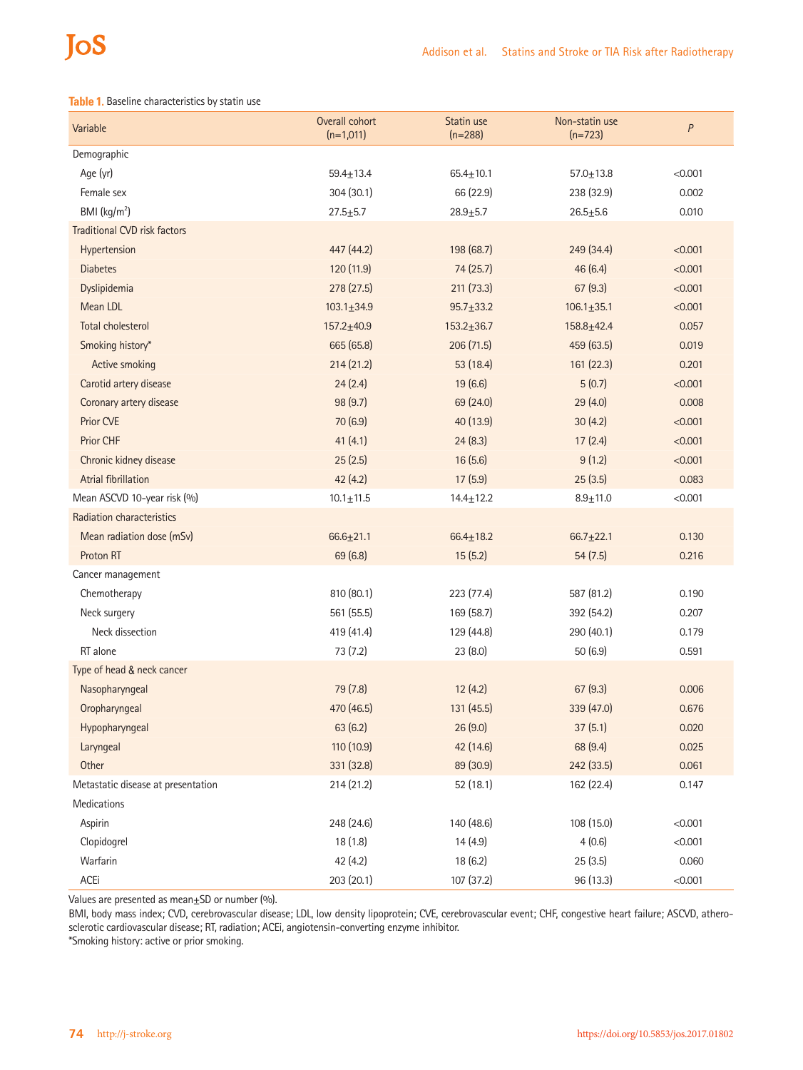# JoS

#### **Table 1.** Baseline characteristics by statin use

| Variable                            | Overall cohort<br>$(n=1,011)$ | Statin use<br>$(n=288)$ | Non-statin use<br>$(n=723)$ | $\boldsymbol{P}$ |
|-------------------------------------|-------------------------------|-------------------------|-----------------------------|------------------|
| Demographic                         |                               |                         |                             |                  |
| Age (yr)                            | $59.4 \pm 13.4$               | $65.4 \pm 10.1$         | $57.0 \pm 13.8$             | < 0.001          |
| Female sex                          | 304(30.1)                     | 66 (22.9)               | 238 (32.9)                  | 0.002            |
| BMI (kg/m <sup>2</sup> )            | $27.5 + 5.7$                  | $28.9 + 5.7$            | $26.5 + 5.6$                | 0.010            |
| <b>Traditional CVD risk factors</b> |                               |                         |                             |                  |
| Hypertension                        | 447 (44.2)                    | 198 (68.7)              | 249 (34.4)                  | < 0.001          |
| <b>Diabetes</b>                     | 120(11.9)                     | 74(25.7)                | 46(6.4)                     | < 0.001          |
| Dyslipidemia                        | 278 (27.5)                    | 211 (73.3)              | 67(9.3)                     | < 0.001          |
| Mean LDL                            | $103.1 \pm 34.9$              | $95.7 \pm 33.2$         | $106.1 \pm 35.1$            | < 0.001          |
| <b>Total cholesterol</b>            | $157.2 + 40.9$                | $153.2 \pm 36.7$        | $158.8 + 42.4$              | 0.057            |
| Smoking history*                    | 665 (65.8)                    | 206 (71.5)              | 459 (63.5)                  | 0.019            |
| Active smoking                      | 214(21.2)                     | 53 (18.4)               | 161 (22.3)                  | 0.201            |
| Carotid artery disease              | 24(2.4)                       | 19 (6.6)                | 5(0.7)                      | < 0.001          |
| Coronary artery disease             | 98(9.7)                       | 69 (24.0)               | 29(4.0)                     | 0.008            |
| Prior CVE                           | 70 (6.9)                      | 40 (13.9)               | 30(4.2)                     | < 0.001          |
| Prior CHF                           | 41(4.1)                       | 24(8.3)                 | 17(2.4)                     | < 0.001          |
| Chronic kidney disease              | 25(2.5)                       | 16(5.6)                 | 9(1.2)                      | < 0.001          |
| Atrial fibrillation                 | 42(4.2)                       | 17(5.9)                 | 25(3.5)                     | 0.083            |
| Mean ASCVD 10-year risk (%)         | $10.1 \pm 11.5$               | $14.4 \pm 12.2$         | $8.9 + 11.0$                | < 0.001          |
| Radiation characteristics           |                               |                         |                             |                  |
| Mean radiation dose (mSv)           | $66.6 \pm 21.1$               | $66.4 \pm 18.2$         | $66.7 + 22.1$               | 0.130            |
| Proton RT                           | 69 (6.8)                      | 15(5.2)                 | 54(7.5)                     | 0.216            |
| Cancer management                   |                               |                         |                             |                  |
| Chemotherapy                        | 810 (80.1)                    | 223 (77.4)              | 587 (81.2)                  | 0.190            |
| Neck surgery                        | 561 (55.5)                    | 169 (58.7)              | 392 (54.2)                  | 0.207            |
| Neck dissection                     | 419 (41.4)                    | 129 (44.8)              | 290 (40.1)                  | 0.179            |
| RT alone                            | 73 (7.2)                      | 23 (8.0)                | 50 (6.9)                    | 0.591            |
| Type of head & neck cancer          |                               |                         |                             |                  |
| Nasopharyngeal                      | 79 (7.8)                      | 12(4.2)                 | 67(9.3)                     | 0.006            |
| Oropharyngeal                       | 470 (46.5)                    | 131 (45.5)              | 339 (47.0)                  | 0.676            |
| Hypopharyngeal                      | 63(6.2)                       | 26(9.0)                 | 37(5.1)                     | 0.020            |
| Laryngeal                           | 110 (10.9)                    | 42 (14.6)               | 68 (9.4)                    | 0.025            |
| Other                               | 331 (32.8)                    | 89 (30.9)               | 242 (33.5)                  | 0.061            |
| Metastatic disease at presentation  | 214(21.2)                     | 52 (18.1)               | 162 (22.4)                  | 0.147            |
| Medications                         |                               |                         |                             |                  |
| Aspirin                             | 248 (24.6)                    | 140 (48.6)              | 108 (15.0)                  | < 0.001          |
| Clopidogrel                         | 18(1.8)                       | 14(4.9)                 | 4(0.6)                      | < 0.001          |
| Warfarin                            | 42 (4.2)                      | 18(6.2)                 | 25(3.5)                     | 0.060            |
| ACEi                                | 203 (20.1)                    | 107 (37.2)              | 96 (13.3)                   | < 0.001          |

Values are presented as mean $\pm$ SD or number (%).

BMI, body mass index; CVD, cerebrovascular disease; LDL, low density lipoprotein; CVE, cerebrovascular event; CHF, congestive heart failure; ASCVD, atherosclerotic cardiovascular disease; RT, radiation; ACEi, angiotensin-converting enzyme inhibitor.

\*Smoking history: active or prior smoking.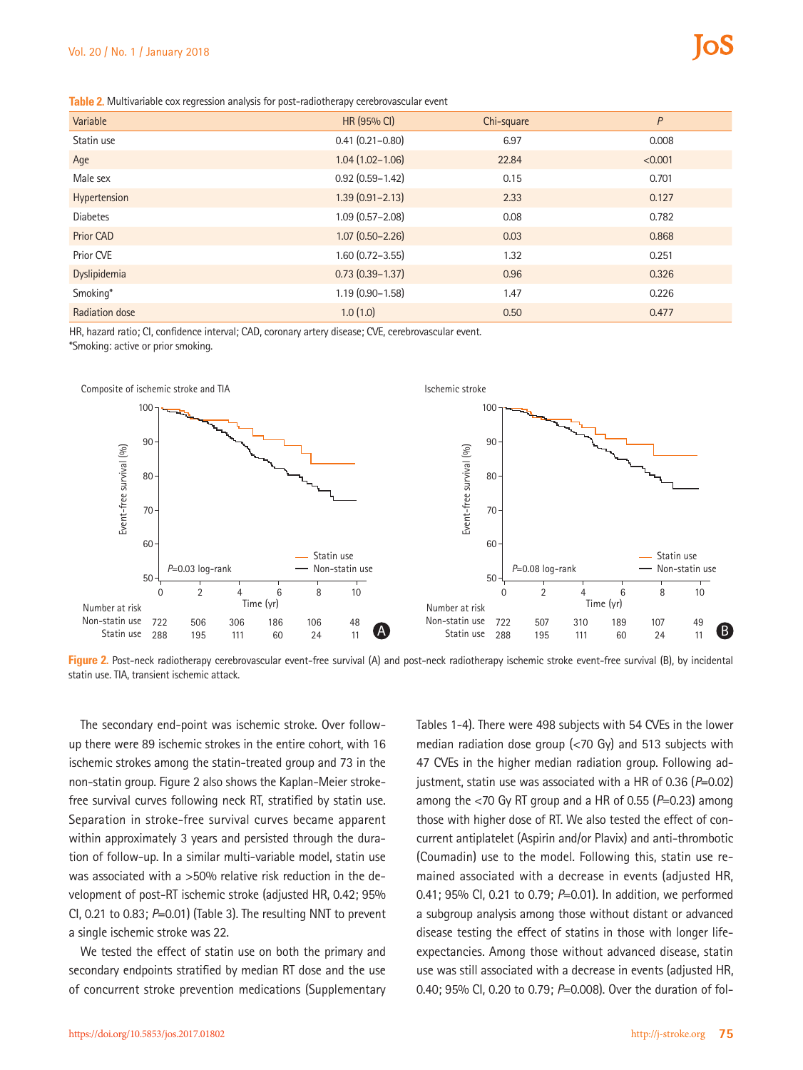**Table 2.** Multivariable cox regression analysis for post-radiotherapy cerebrovascular event

| Variable         | HR (95% CI)         | Chi-square | P       |
|------------------|---------------------|------------|---------|
| Statin use       | $0.41(0.21 - 0.80)$ | 6.97       | 0.008   |
| Age              | $1.04(1.02 - 1.06)$ | 22.84      | < 0.001 |
| Male sex         | $0.92(0.59 - 1.42)$ | 0.15       | 0.701   |
| Hypertension     | $1.39(0.91 - 2.13)$ | 2.33       | 0.127   |
| <b>Diabetes</b>  | $1.09(0.57 - 2.08)$ | 0.08       | 0.782   |
| <b>Prior CAD</b> | $1.07(0.50 - 2.26)$ | 0.03       | 0.868   |
| Prior CVE        | $1.60(0.72 - 3.55)$ | 1.32       | 0.251   |
| Dyslipidemia     | $0.73(0.39 - 1.37)$ | 0.96       | 0.326   |
| Smoking*         | $1.19(0.90 - 1.58)$ | 1.47       | 0.226   |
| Radiation dose   | 1.0(1.0)            | 0.50       | 0.477   |

HR, hazard ratio; CI, confidence interval; CAD, coronary artery disease; CVE, cerebrovascular event.

\*Smoking: active or prior smoking.



Figure 2. Post-neck radiotherapy cerebrovascular event-free survival (A) and post-neck radiotherapy ischemic stroke event-free survival (B), by incidental

The secondary end-point was ischemic stroke. Over followup there were 89 ischemic strokes in the entire cohort, with 16 ischemic strokes among the statin-treated group and 73 in the non-statin group. Figure 2 also shows the Kaplan-Meier strokefree survival curves following neck RT, stratified by statin use. Separation in stroke-free survival curves became apparent within approximately 3 years and persisted through the duration of follow-up. In a similar multi-variable model, statin use was associated with a >50% relative risk reduction in the development of post-RT ischemic stroke (adjusted HR, 0.42; 95% CI, 0.21 to 0.83; *P*=0.01) (Table 3). The resulting NNT to prevent a single ischemic stroke was 22.

We tested the effect of statin use on both the primary and secondary endpoints stratified by median RT dose and the use of concurrent stroke prevention medications (Supplementary Tables 1-4). There were 498 subjects with 54 CVEs in the lower median radiation dose group (<70 Gy) and 513 subjects with 47 CVEs in the higher median radiation group. Following adjustment, statin use was associated with a HR of 0.36 (*P*=0.02) among the <70 Gy RT group and a HR of 0.55 (*P*=0.23) among those with higher dose of RT. We also tested the effect of concurrent antiplatelet (Aspirin and/or Plavix) and anti-thrombotic (Coumadin) use to the model. Following this, statin use remained associated with a decrease in events (adjusted HR, 0.41; 95% CI, 0.21 to 0.79; *P*=0.01). In addition, we performed a subgroup analysis among those without distant or advanced disease testing the effect of statins in those with longer lifeexpectancies. Among those without advanced disease, statin use was still associated with a decrease in events (adjusted HR, 0.40; 95% CI, 0.20 to 0.79; *P*=0.008). Over the duration of fol-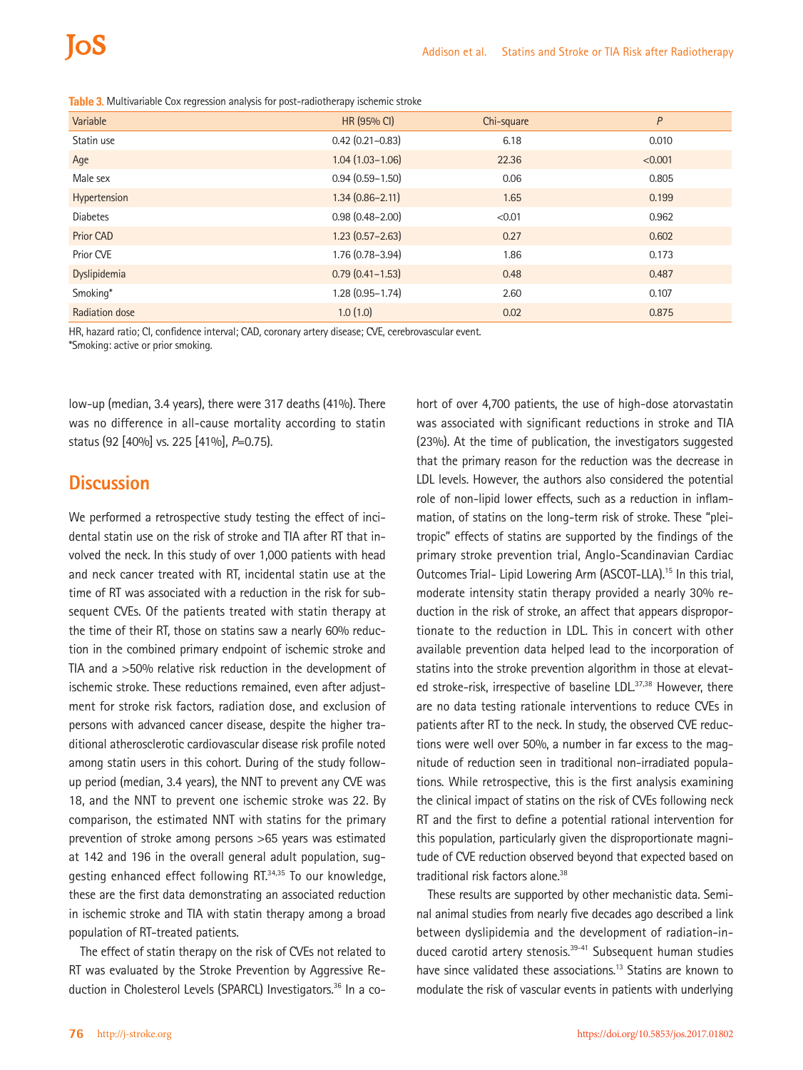| Variable        | HR (95% CI)         | Chi-square | P       |
|-----------------|---------------------|------------|---------|
| Statin use      | $0.42$ (0.21-0.83)  | 6.18       | 0.010   |
| Age             | $1.04(1.03 - 1.06)$ | 22.36      | < 0.001 |
| Male sex        | $0.94(0.59 - 1.50)$ | 0.06       | 0.805   |
| Hypertension    | $1.34(0.86 - 2.11)$ | 1.65       | 0.199   |
| <b>Diabetes</b> | $0.98(0.48 - 2.00)$ | < 0.01     | 0.962   |
| Prior CAD       | $1.23(0.57 - 2.63)$ | 0.27       | 0.602   |
| Prior CVE       | $1.76(0.78 - 3.94)$ | 1.86       | 0.173   |
| Dyslipidemia    | $0.79(0.41 - 1.53)$ | 0.48       | 0.487   |
| Smoking*        | $1.28(0.95 - 1.74)$ | 2.60       | 0.107   |
| Radiation dose  | 1.0(1.0)            | 0.02       | 0.875   |

**Table 3.** Multivariable Cox regression analysis for post-radiotherapy ischemic stroke

HR, hazard ratio; CI, confidence interval; CAD, coronary artery disease; CVE, cerebrovascular event.

\*Smoking: active or prior smoking.

low-up (median, 3.4 years), there were 317 deaths (41%). There was no difference in all-cause mortality according to statin status (92 [40%] vs. 225 [41%], *P*=0.75).

### **Discussion**

We performed a retrospective study testing the effect of incidental statin use on the risk of stroke and TIA after RT that involved the neck. In this study of over 1,000 patients with head and neck cancer treated with RT, incidental statin use at the time of RT was associated with a reduction in the risk for subsequent CVEs. Of the patients treated with statin therapy at the time of their RT, those on statins saw a nearly 60% reduction in the combined primary endpoint of ischemic stroke and TIA and a >50% relative risk reduction in the development of ischemic stroke. These reductions remained, even after adjustment for stroke risk factors, radiation dose, and exclusion of persons with advanced cancer disease, despite the higher traditional atherosclerotic cardiovascular disease risk profile noted among statin users in this cohort. During of the study followup period (median, 3.4 years), the NNT to prevent any CVE was 18, and the NNT to prevent one ischemic stroke was 22. By comparison, the estimated NNT with statins for the primary prevention of stroke among persons >65 years was estimated at 142 and 196 in the overall general adult population, suggesting enhanced effect following RT.<sup>34,35</sup> To our knowledge, these are the first data demonstrating an associated reduction in ischemic stroke and TIA with statin therapy among a broad population of RT-treated patients.

The effect of statin therapy on the risk of CVEs not related to RT was evaluated by the Stroke Prevention by Aggressive Reduction in Cholesterol Levels (SPARCL) Investigators.<sup>36</sup> In a cohort of over 4,700 patients, the use of high-dose atorvastatin was associated with significant reductions in stroke and TIA (23%). At the time of publication, the investigators suggested that the primary reason for the reduction was the decrease in LDL levels. However, the authors also considered the potential role of non-lipid lower effects, such as a reduction in inflammation, of statins on the long-term risk of stroke. These "pleitropic" effects of statins are supported by the findings of the primary stroke prevention trial, Anglo-Scandinavian Cardiac Outcomes Trial- Lipid Lowering Arm (ASCOT-LLA).15 In this trial, moderate intensity statin therapy provided a nearly 30% reduction in the risk of stroke, an affect that appears disproportionate to the reduction in LDL. This in concert with other available prevention data helped lead to the incorporation of statins into the stroke prevention algorithm in those at elevated stroke-risk, irrespective of baseline LDL.<sup>37,38</sup> However, there are no data testing rationale interventions to reduce CVEs in patients after RT to the neck. In study, the observed CVE reductions were well over 50%, a number in far excess to the magnitude of reduction seen in traditional non-irradiated populations. While retrospective, this is the first analysis examining the clinical impact of statins on the risk of CVEs following neck RT and the first to define a potential rational intervention for this population, particularly given the disproportionate magnitude of CVE reduction observed beyond that expected based on traditional risk factors alone.38

These results are supported by other mechanistic data. Seminal animal studies from nearly five decades ago described a link between dyslipidemia and the development of radiation-induced carotid artery stenosis.<sup>39-41</sup> Subsequent human studies have since validated these associations.<sup>13</sup> Statins are known to modulate the risk of vascular events in patients with underlying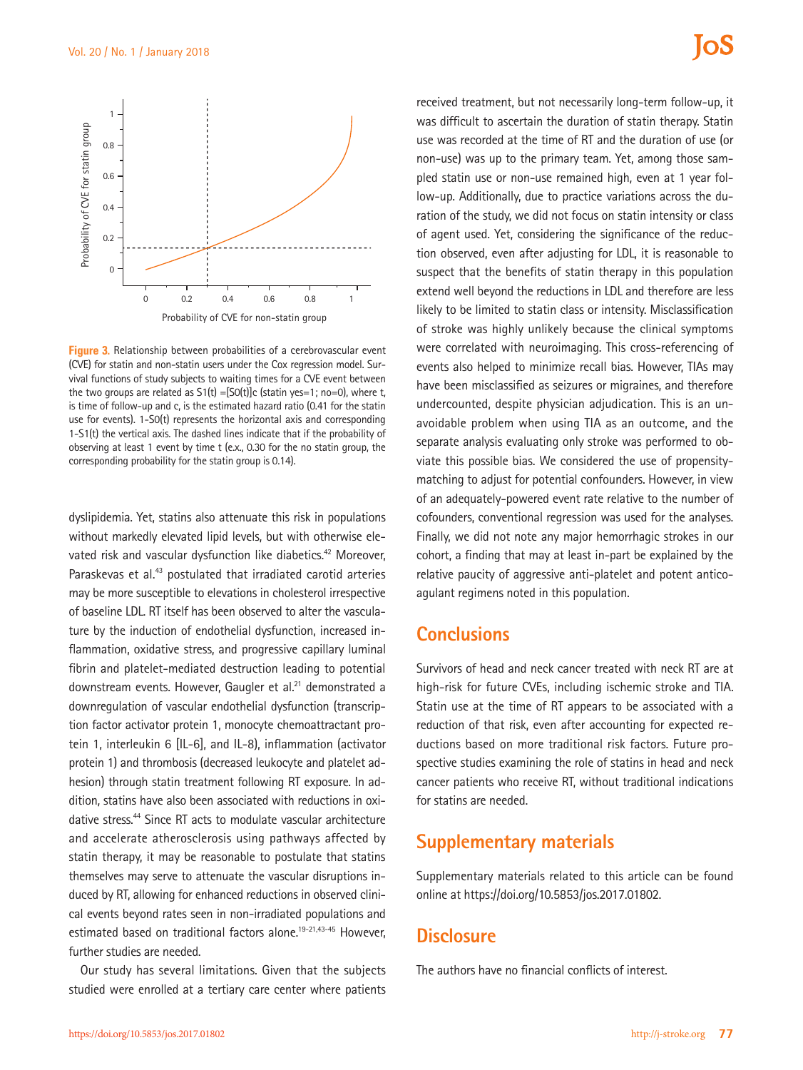

**Figure 3.** Relationship between probabilities of a cerebrovascular event (CVE) for statin and non-statin users under the Cox regression model. Survival functions of study subjects to waiting times for a CVE event between the two groups are related as  $S1(t) = [SO(t)]c$  (statin yes=1; no=0), where t, is time of follow-up and c, is the estimated hazard ratio (0.41 for the statin use for events). 1-S0(t) represents the horizontal axis and corresponding 1-S1(t) the vertical axis. The dashed lines indicate that if the probability of observing at least 1 event by time t (e.x., 0.30 for the no statin group, the

dyslipidemia. Yet, statins also attenuate this risk in populations without markedly elevated lipid levels, but with otherwise elevated risk and vascular dysfunction like diabetics.<sup>42</sup> Moreover, Paraskevas et al.<sup>43</sup> postulated that irradiated carotid arteries may be more susceptible to elevations in cholesterol irrespective of baseline LDL. RT itself has been observed to alter the vasculature by the induction of endothelial dysfunction, increased inflammation, oxidative stress, and progressive capillary luminal fibrin and platelet-mediated destruction leading to potential downstream events. However, Gaugler et al.<sup>21</sup> demonstrated a downregulation of vascular endothelial dysfunction (transcription factor activator protein 1, monocyte chemoattractant protein 1, interleukin 6 [IL-6], and IL-8), inflammation (activator protein 1) and thrombosis (decreased leukocyte and platelet adhesion) through statin treatment following RT exposure. In addition, statins have also been associated with reductions in oxidative stress.<sup>44</sup> Since RT acts to modulate vascular architecture and accelerate atherosclerosis using pathways affected by statin therapy, it may be reasonable to postulate that statins themselves may serve to attenuate the vascular disruptions induced by RT, allowing for enhanced reductions in observed clinical events beyond rates seen in non-irradiated populations and estimated based on traditional factors alone.<sup>19-21,43-45</sup> However, further studies are needed.

Our study has several limitations. Given that the subjects studied were enrolled at a tertiary care center where patients

received treatment, but not necessarily long-term follow-up, it was difficult to ascertain the duration of statin therapy. Statin use was recorded at the time of RT and the duration of use (or non-use) was up to the primary team. Yet, among those sampled statin use or non-use remained high, even at 1 year follow-up. Additionally, due to practice variations across the duration of the study, we did not focus on statin intensity or class of agent used. Yet, considering the significance of the reduction observed, even after adjusting for LDL, it is reasonable to suspect that the benefits of statin therapy in this population extend well beyond the reductions in LDL and therefore are less likely to be limited to statin class or intensity. Misclassification of stroke was highly unlikely because the clinical symptoms were correlated with neuroimaging. This cross-referencing of events also helped to minimize recall bias. However, TIAs may have been misclassified as seizures or migraines, and therefore undercounted, despite physician adjudication. This is an unavoidable problem when using TIA as an outcome, and the separate analysis evaluating only stroke was performed to obviate this possible bias. We considered the use of propensitymatching to adjust for potential confounders. However, in view of an adequately-powered event rate relative to the number of cofounders, conventional regression was used for the analyses. Finally, we did not note any major hemorrhagic strokes in our cohort, a finding that may at least in-part be explained by the relative paucity of aggressive anti-platelet and potent anticoagulant regimens noted in this population.

### **Conclusions**

Survivors of head and neck cancer treated with neck RT are at high-risk for future CVEs, including ischemic stroke and TIA. Statin use at the time of RT appears to be associated with a reduction of that risk, even after accounting for expected reductions based on more traditional risk factors. Future prospective studies examining the role of statins in head and neck cancer patients who receive RT, without traditional indications for statins are needed.

### **Supplementary materials**

Supplementary materials related to this article can be found online at https://doi.org/10.5853/jos.2017.01802.

## **Disclosure**

The authors have no financial conflicts of interest.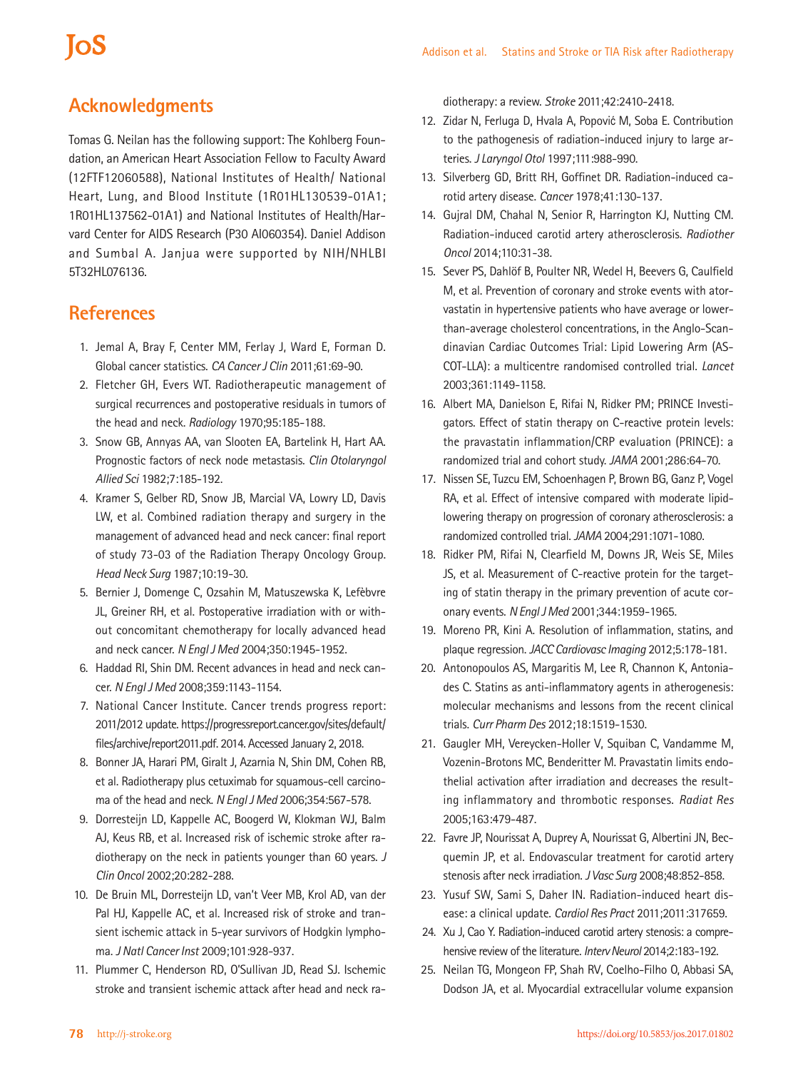## **Acknowledgments**

**IoS** 

Tomas G. Neilan has the following support: The Kohlberg Foundation, an American Heart Association Fellow to Faculty Award (12FTF12060588), National Institutes of Health/ National Heart, Lung, and Blood Institute (1R01HL130539-01A1; 1R01HL137562-01A1) and National Institutes of Health/Harvard Center for AIDS Research (P30 AI060354). Daniel Addison and Sumbal A. Janjua were supported by NIH/NHLBI 5T32HL076136.

### **References**

- 1. Jemal A, Bray F, Center MM, Ferlay J, Ward E, Forman D. Global cancer statistics. *CA Cancer J Clin* 2011;61:69-90.
- 2. Fletcher GH, Evers WT. Radiotherapeutic management of surgical recurrences and postoperative residuals in tumors of the head and neck. *Radiology* 1970;95:185-188.
- 3. Snow GB, Annyas AA, van Slooten EA, Bartelink H, Hart AA. Prognostic factors of neck node metastasis. *Clin Otolaryngol Allied Sci* 1982;7:185-192.
- 4. Kramer S, Gelber RD, Snow JB, Marcial VA, Lowry LD, Davis LW, et al. Combined radiation therapy and surgery in the management of advanced head and neck cancer: final report of study 73-03 of the Radiation Therapy Oncology Group. *Head Neck Surg* 1987;10:19-30.
- 5. Bernier J, Domenge C, Ozsahin M, Matuszewska K, Lefèbvre JL, Greiner RH, et al. Postoperative irradiation with or without concomitant chemotherapy for locally advanced head and neck cancer. *N Engl J Med* 2004;350:1945-1952.
- 6. Haddad RI, Shin DM. Recent advances in head and neck cancer. *N Engl J Med* 2008;359:1143-1154.
- 7. National Cancer Institute. Cancer trends progress report: 2011/2012 update. [https://progressreport.cancer.gov/sites/default/](https://progressreport.cancer.gov/sites/default/files/archive/report2011.pdf) [files/archive/report2011.](https://progressreport.cancer.gov/sites/default/files/archive/report2011.pdf)pdf. 2014. Accessed January 2, 2018.
- 8. Bonner JA, Harari PM, Giralt J, Azarnia N, Shin DM, Cohen RB, et al. Radiotherapy plus cetuximab for squamous-cell carcinoma of the head and neck. *N Engl J Med* 2006;354:567-578.
- 9. Dorresteijn LD, Kappelle AC, Boogerd W, Klokman WJ, Balm AJ, Keus RB, et al. Increased risk of ischemic stroke after radiotherapy on the neck in patients younger than 60 years. *J Clin Oncol* 2002;20:282-288.
- 10. De Bruin ML, Dorresteijn LD, van't Veer MB, Krol AD, van der Pal HJ, Kappelle AC, et al. Increased risk of stroke and transient ischemic attack in 5-year survivors of Hodgkin lymphoma. *J Natl Cancer Inst* 2009;101:928-937.
- 11. Plummer C, Henderson RD, O'Sullivan JD, Read SJ. Ischemic stroke and transient ischemic attack after head and neck ra-

diotherapy: a review. *Stroke* 2011;42:2410-2418.

- 12. Zidar N, Ferluga D, Hvala A, Popović M, Soba E. Contribution to the pathogenesis of radiation-induced injury to large arteries. *J Laryngol Otol* 1997;111:988-990.
- 13. Silverberg GD, Britt RH, Goffinet DR. Radiation-induced carotid artery disease. *Cancer* 1978;41:130-137.
- 14. Gujral DM, Chahal N, Senior R, Harrington KJ, Nutting CM. Radiation-induced carotid artery atherosclerosis. *Radiother Oncol* 2014;110:31-38.
- 15. Sever PS, Dahlöf B, Poulter NR, Wedel H, Beevers G, Caulfield M, et al. Prevention of coronary and stroke events with atorvastatin in hypertensive patients who have average or lowerthan-average cholesterol concentrations, in the Anglo-Scandinavian Cardiac Outcomes Trial: Lipid Lowering Arm (AS-COT-LLA): a multicentre randomised controlled trial. *Lancet* 2003;361:1149-1158.
- 16. Albert MA, Danielson E, Rifai N, Ridker PM; PRINCE Investigators. Effect of statin therapy on C-reactive protein levels: the pravastatin inflammation/CRP evaluation (PRINCE): a randomized trial and cohort study. *JAMA* 2001;286:64-70.
- 17. Nissen SE, Tuzcu EM, Schoenhagen P, Brown BG, Ganz P, Vogel RA, et al. Effect of intensive compared with moderate lipidlowering therapy on progression of coronary atherosclerosis: a randomized controlled trial. *JAMA* 2004;291:1071-1080.
- 18. Ridker PM, Rifai N, Clearfield M, Downs JR, Weis SE, Miles JS, et al. Measurement of C-reactive protein for the targeting of statin therapy in the primary prevention of acute coronary events. *N Engl J Med* 2001;344:1959-1965.
- 19. Moreno PR, Kini A. Resolution of inflammation, statins, and plaque regression. *JACC Cardiovasc Imaging* 2012;5:178-181.
- 20. Antonopoulos AS, Margaritis M, Lee R, Channon K, Antoniades C. Statins as anti-inflammatory agents in atherogenesis: molecular mechanisms and lessons from the recent clinical trials. *Curr Pharm Des* 2012;18:1519-1530.
- 21. Gaugler MH, Vereycken-Holler V, Squiban C, Vandamme M, Vozenin-Brotons MC, Benderitter M. Pravastatin limits endothelial activation after irradiation and decreases the resulting inflammatory and thrombotic responses. *Radiat Res* 2005;163:479-487.
- 22. Favre JP, Nourissat A, Duprey A, Nourissat G, Albertini JN, Becquemin JP, et al. Endovascular treatment for carotid artery stenosis after neck irradiation. *J Vasc Surg* 2008;48:852-858.
- 23. Yusuf SW, Sami S, Daher IN. Radiation-induced heart disease: a clinical update. *Cardiol Res Pract* 2011;2011:317659.
- 24. Xu J, Cao Y. Radiation-induced carotid artery stenosis: a comprehensive review of the literature. *Interv Neurol* 2014;2:183-192.
- 25. Neilan TG, Mongeon FP, Shah RV, Coelho-Filho O, Abbasi SA, Dodson JA, et al. Myocardial extracellular volume expansion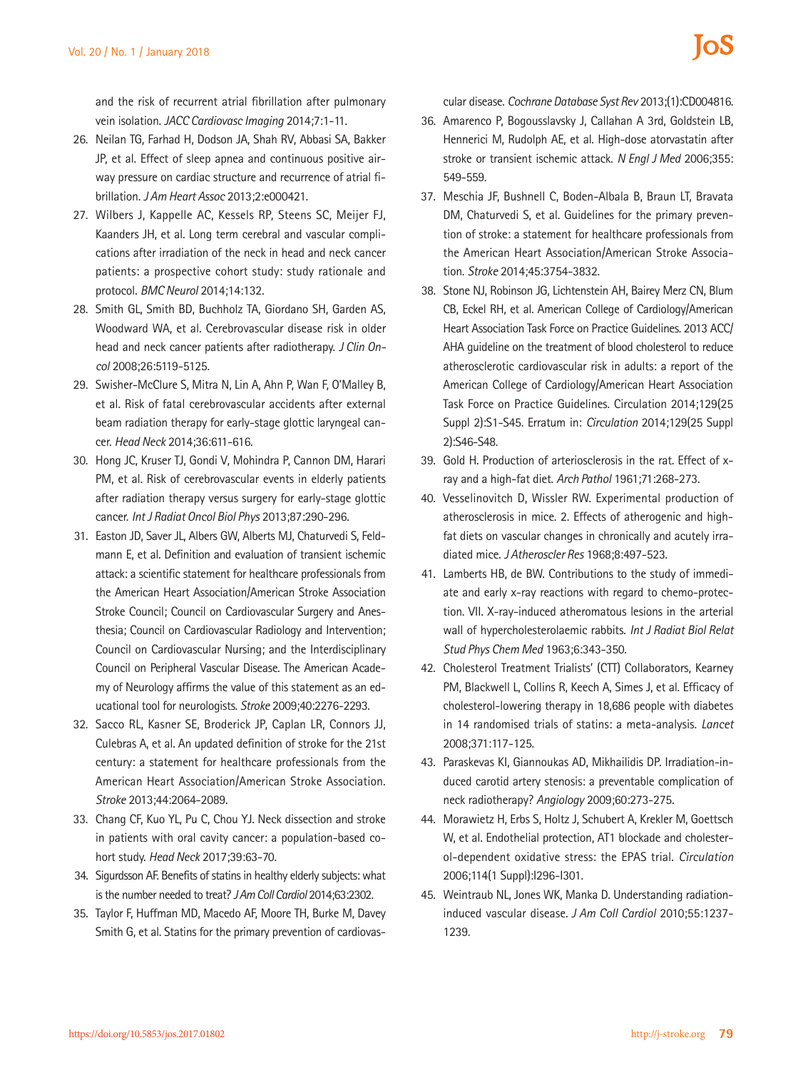and the risk of recurrent atrial fibrillation after pulmonary vein isolation. *JACC Cardiovasc Imaging* 2014;7:1-11.

- 26. Neilan TG, Farhad H, Dodson JA, Shah RV, Abbasi SA, Bakker JP, et al. Effect of sleep apnea and continuous positive airway pressure on cardiac structure and recurrence of atrial fibrillation. *J Am Heart Assoc* 2013;2:e000421.
- 27. Wilbers J, Kappelle AC, Kessels RP, Steens SC, Meijer FJ, Kaanders JH, et al. Long term cerebral and vascular complications after irradiation of the neck in head and neck cancer patients: a prospective cohort study: study rationale and protocol. *BMC Neurol* 2014;14:132.
- 28. Smith GL, Smith BD, Buchholz TA, Giordano SH, Garden AS, Woodward WA, et al. Cerebrovascular disease risk in older head and neck cancer patients after radiotherapy. *J Clin Oncol* 2008;26:5119-5125.
- 29. Swisher-McClure S, Mitra N, Lin A, Ahn P, Wan F, O'Malley B, et al. Risk of fatal cerebrovascular accidents after external beam radiation therapy for early-stage glottic laryngeal cancer. *Head Neck* 2014;36:611-616.
- 30. Hong JC, Kruser TJ, Gondi V, Mohindra P, Cannon DM, Harari PM, et al. Risk of cerebrovascular events in elderly patients after radiation therapy versus surgery for early-stage glottic cancer. *Int J Radiat Oncol Biol Phys* 2013;87:290-296.
- 31. Easton JD, Saver JL, Albers GW, Alberts MJ, Chaturvedi S, Feldmann E, et al. Definition and evaluation of transient ischemic attack: a scientific statement for healthcare professionals from the American Heart Association/American Stroke Association Stroke Council; Council on Cardiovascular Surgery and Anesthesia; Council on Cardiovascular Radiology and Intervention; Council on Cardiovascular Nursing; and the Interdisciplinary Council on Peripheral Vascular Disease. The American Academy of Neurology affirms the value of this statement as an educational tool for neurologists. *Stroke* 2009;40:2276-2293.
- 32. Sacco RL, Kasner SE, Broderick JP, Caplan LR, Connors JJ, Culebras A, et al. An updated definition of stroke for the 21st century: a statement for healthcare professionals from the American Heart Association/American Stroke Association. *Stroke* 2013;44:2064-2089.
- 33. Chang CF, Kuo YL, Pu C, Chou YJ. Neck dissection and stroke in patients with oral cavity cancer: a population-based cohort study. *Head Neck* 2017;39:63-70.
- 34. Sigurdsson AF. Benefits of statins in healthy elderly subjects: what is the number needed to treat? *J Am Coll Cardiol* 2014;63:2302.
- 35. Taylor F, Huffman MD, Macedo AF, Moore TH, Burke M, Davey Smith G, et al. Statins for the primary prevention of cardiovas-

cular disease. *Cochrane Database Syst Rev* 2013;(1):CD004816.

- 36. Amarenco P, Bogousslavsky J, Callahan A 3rd, Goldstein LB, Hennerici M, Rudolph AE, et al. High-dose atorvastatin after stroke or transient ischemic attack. *N Engl J Med* 2006;355: 549-559.
- 37. Meschia JF, Bushnell C, Boden-Albala B, Braun LT, Bravata DM, Chaturvedi S, et al. Guidelines for the primary prevention of stroke: a statement for healthcare professionals from the American Heart Association/American Stroke Association. *Stroke* 2014;45:3754-3832.
- 38. Stone NJ, Robinson JG, Lichtenstein AH, Bairey Merz CN, Blum CB, Eckel RH, et al. American College of Cardiology/American Heart Association Task Force on Practice Guidelines. 2013 ACC/ AHA guideline on the treatment of blood cholesterol to reduce atherosclerotic cardiovascular risk in adults: a report of the American College of Cardiology/American Heart Association Task Force on Practice Guidelines. Circulation 2014;129(25 Suppl 2):S1-S45. Erratum in: *Circulation* 2014;129(25 Suppl 2):S46-S48.
- 39. Gold H. Production of arteriosclerosis in the rat. Effect of xray and a high-fat diet. *Arch Pathol* 1961;71:268-273.
- 40. Vesselinovitch D, Wissler RW. Experimental production of atherosclerosis in mice. 2. Effects of atherogenic and highfat diets on vascular changes in chronically and acutely irradiated mice. *J Atheroscler Res* 1968;8:497-523.
- 41. Lamberts HB, de BW. Contributions to the study of immediate and early x-ray reactions with regard to chemo-protection. VII. X-ray-induced atheromatous lesions in the arterial wall of hypercholesterolaemic rabbits. *Int J Radiat Biol Relat Stud Phys Chem Med* 1963;6:343-350.
- 42. Cholesterol Treatment Trialists' (CTT) Collaborators, Kearney PM, Blackwell L, Collins R, Keech A, Simes J, et al. Efficacy of cholesterol-lowering therapy in 18,686 people with diabetes in 14 randomised trials of statins: a meta-analysis. *Lancet* 2008;371:117-125.
- 43. Paraskevas KI, Giannoukas AD, Mikhailidis DP. Irradiation-induced carotid artery stenosis: a preventable complication of neck radiotherapy? *Angiology* 2009;60:273-275.
- 44. Morawietz H, Erbs S, Holtz J, Schubert A, Krekler M, Goettsch W, et al. Endothelial protection, AT1 blockade and cholesterol-dependent oxidative stress: the EPAS trial. *Circulation* 2006;114(1 Suppl):I296-I301.
- 45. Weintraub NL, Jones WK, Manka D. Understanding radiationinduced vascular disease. *J Am Coll Cardiol* 2010;55:1237- 1239.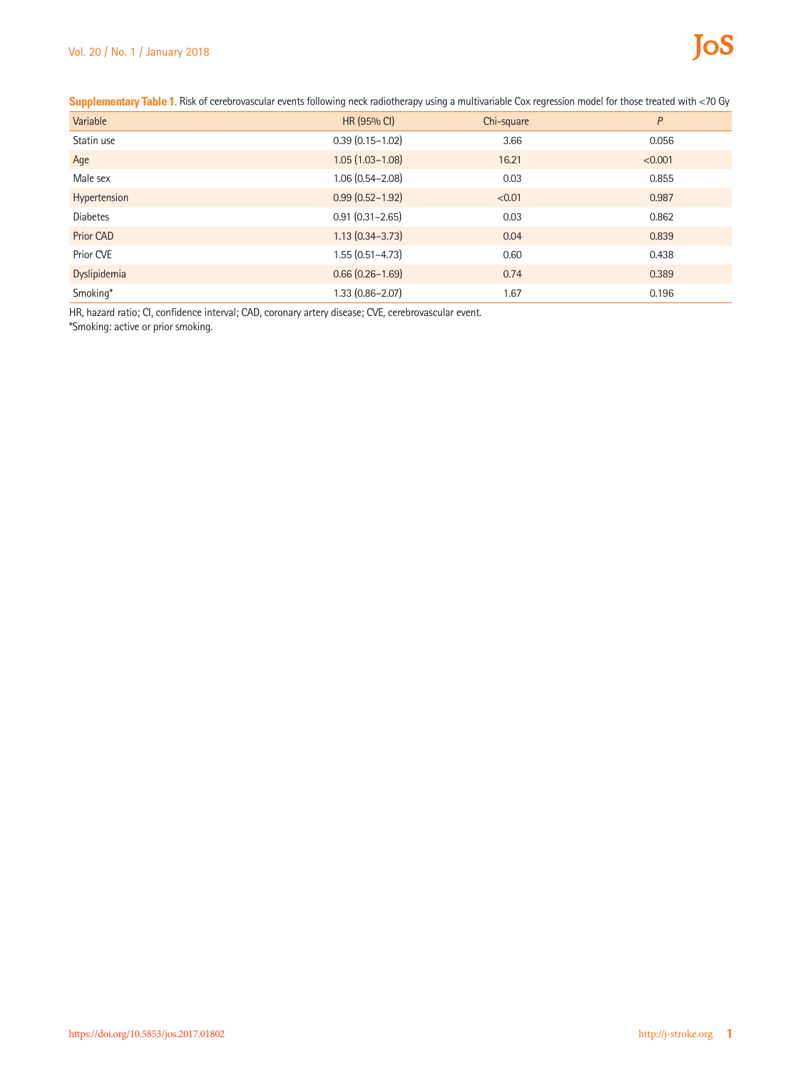| Variable         | HR (95% CI)         | Chi-square | P       |
|------------------|---------------------|------------|---------|
| Statin use       | $0.39(0.15 - 1.02)$ | 3.66       | 0.056   |
| Age              | $1.05(1.03 - 1.08)$ | 16.21      | < 0.001 |
| Male sex         | $1.06(0.54 - 2.08)$ | 0.03       | 0.855   |
| Hypertension     | $0.99(0.52 - 1.92)$ | < 0.01     | 0.987   |
| <b>Diabetes</b>  | $0.91(0.31 - 2.65)$ | 0.03       | 0.862   |
| <b>Prior CAD</b> | $1.13(0.34 - 3.73)$ | 0.04       | 0.839   |
| Prior CVE        | $1.55(0.51 - 4.73)$ | 0.60       | 0.438   |
| Dyslipidemia     | $0.66(0.26 - 1.69)$ | 0.74       | 0.389   |
| Smoking*         | $1.33(0.86 - 2.07)$ | 1.67       | 0.196   |

**Supplementary Table 1.** Risk of cerebrovascular events following neck radiotherapy using a multivariable Cox regression model for those treated with <70 Gy

HR, hazard ratio; CI, confidence interval; CAD, coronary artery disease; CVE, cerebrovascular event.

\*Smoking: active or prior smoking.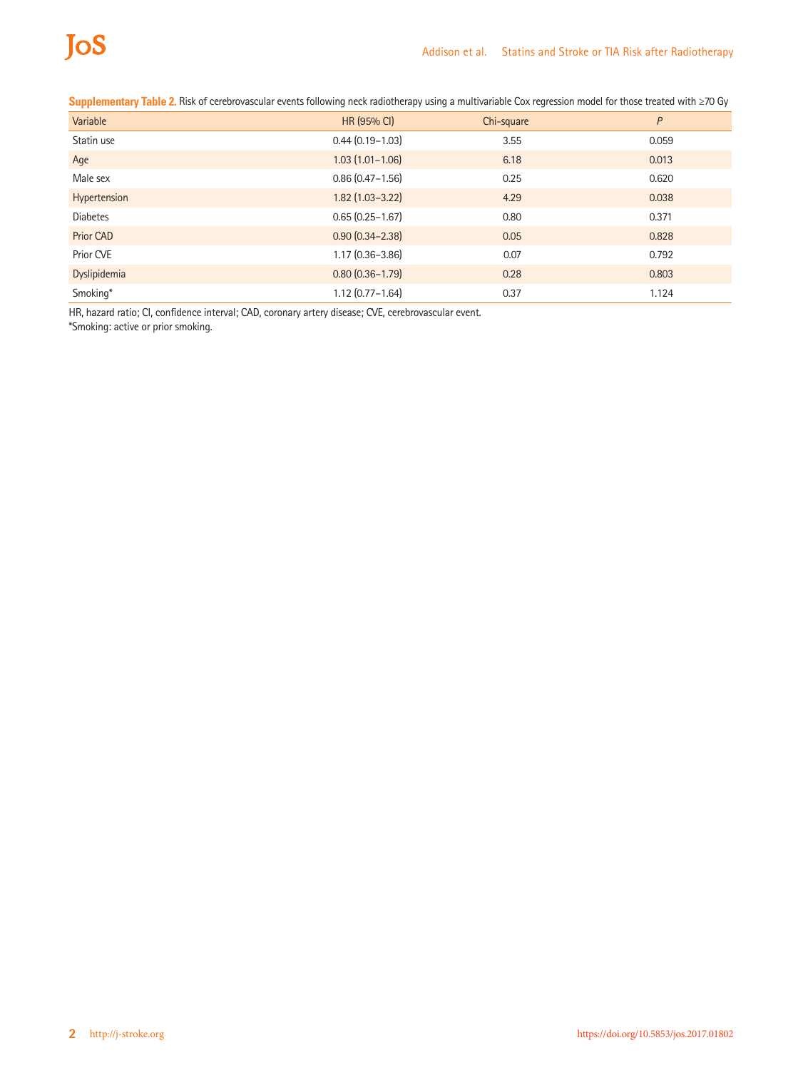| Variable        | HR (95% CI)         | Chi-square | P     |
|-----------------|---------------------|------------|-------|
| Statin use      | $0.44(0.19 - 1.03)$ | 3.55       | 0.059 |
| Age             | $1.03(1.01 - 1.06)$ | 6.18       | 0.013 |
| Male sex        | $0.86(0.47 - 1.56)$ | 0.25       | 0.620 |
| Hypertension    | $1.82(1.03 - 3.22)$ | 4.29       | 0.038 |
| <b>Diabetes</b> | $0.65(0.25 - 1.67)$ | 0.80       | 0.371 |
| Prior CAD       | $0.90(0.34 - 2.38)$ | 0.05       | 0.828 |
| Prior CVE       | $1.17(0.36 - 3.86)$ | 0.07       | 0.792 |
| Dyslipidemia    | $0.80(0.36 - 1.79)$ | 0.28       | 0.803 |
| Smoking*        | $1.12(0.77 - 1.64)$ | 0.37       | 1.124 |

**Supplementary Table 2.** Risk of cerebrovascular events following neck radiotherapy using a multivariable Cox regression model for those treated with ≥70 Gy

HR, hazard ratio; CI, confidence interval; CAD, coronary artery disease; CVE, cerebrovascular event.

\*Smoking: active or prior smoking.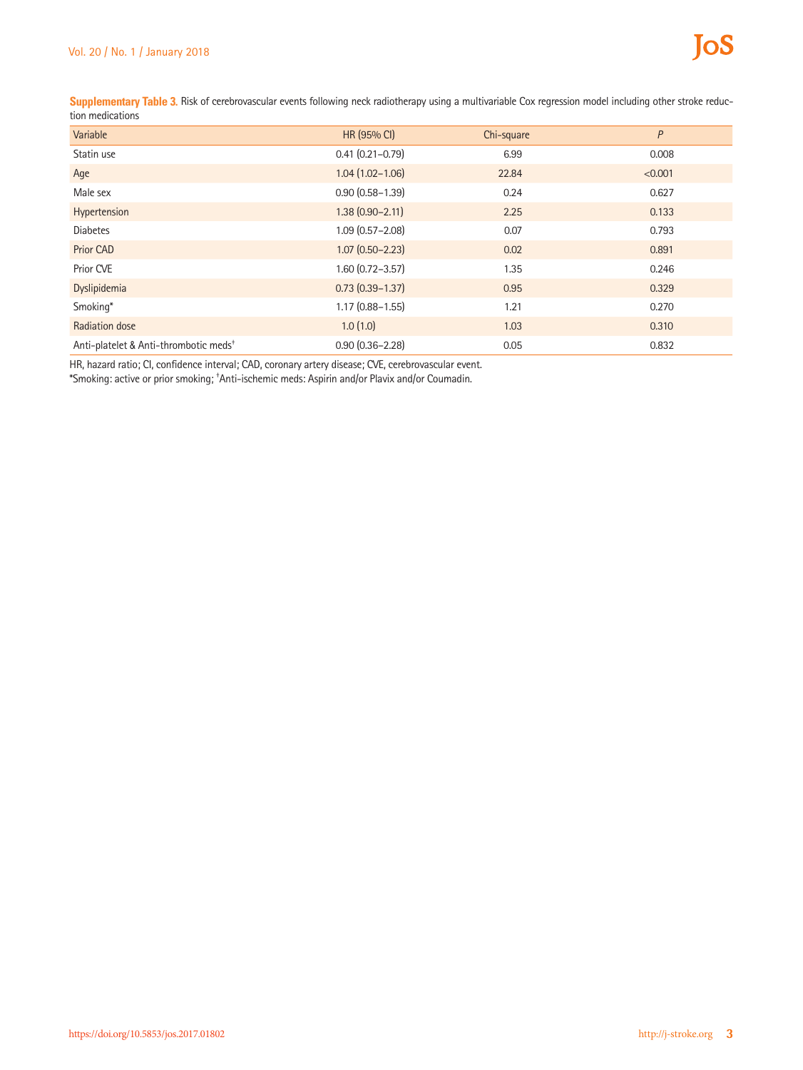Supplementary Table 3. Risk of cerebrovascular events following neck radiotherapy using a multivariable Cox regression model including other stroke reduction medications

| Variable                                          | HR (95% CI)         | Chi-square | P       |
|---------------------------------------------------|---------------------|------------|---------|
| Statin use                                        | $0.41(0.21 - 0.79)$ | 6.99       | 0.008   |
| Age                                               | $1.04(1.02 - 1.06)$ | 22.84      | < 0.001 |
| Male sex                                          | $0.90(0.58 - 1.39)$ | 0.24       | 0.627   |
| Hypertension                                      | $1.38(0.90 - 2.11)$ | 2.25       | 0.133   |
| <b>Diabetes</b>                                   | $1.09(0.57 - 2.08)$ | 0.07       | 0.793   |
| <b>Prior CAD</b>                                  | $1.07(0.50 - 2.23)$ | 0.02       | 0.891   |
| Prior CVE                                         | $1.60(0.72 - 3.57)$ | 1.35       | 0.246   |
| Dyslipidemia                                      | $0.73(0.39 - 1.37)$ | 0.95       | 0.329   |
| Smoking*                                          | $1.17(0.88 - 1.55)$ | 1.21       | 0.270   |
| Radiation dose                                    | 1.0(1.0)            | 1.03       | 0.310   |
| Anti-platelet & Anti-thrombotic meds <sup>+</sup> | $0.90(0.36 - 2.28)$ | 0.05       | 0.832   |

HR, hazard ratio; CI, confidence interval; CAD, coronary artery disease; CVE, cerebrovascular event.

\*Smoking: active or prior smoking; † Anti-ischemic meds: Aspirin and/or Plavix and/or Coumadin.